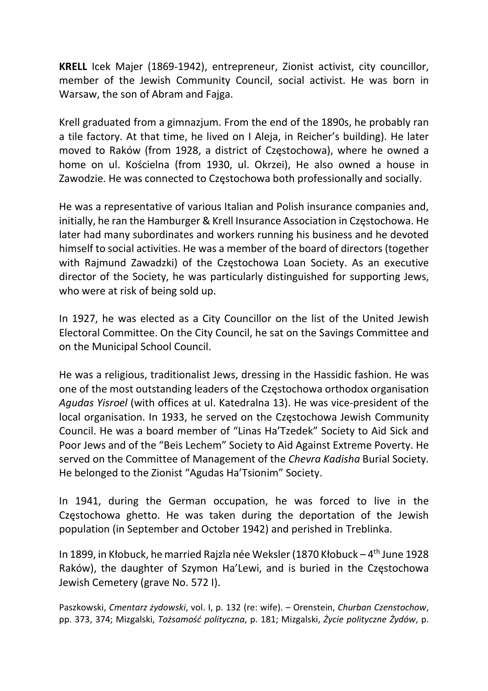KRELL Icek Majer (1869-1942), entrepreneur, Zionist activist, city councillor, member of the Jewish Community Council, social activist. He was born in Warsaw, the son of Abram and Fajga.

Krell graduated from a gimnazjum. From the end of the 1890s, he probably ran a tile factory. At that time, he lived on I Aleja, in Reicher's building). He later moved to Raków (from 1928, a district of Częstochowa), where he owned a home on ul. Kościelna (from 1930, ul. Okrzei), He also owned a house in Zawodzie. He was connected to Częstochowa both professionally and socially.

He was a representative of various Italian and Polish insurance companies and, initially, he ran the Hamburger & Krell Insurance Association in Częstochowa. He later had many subordinates and workers running his business and he devoted himself to social activities. He was a member of the board of directors (together with Rajmund Zawadzki) of the Częstochowa Loan Society. As an executive director of the Society, he was particularly distinguished for supporting Jews, who were at risk of being sold up.

In 1927, he was elected as a City Councillor on the list of the United Jewish Electoral Committee. On the City Council, he sat on the Savings Committee and on the Municipal School Council.

He was a religious, traditionalist Jews, dressing in the Hassidic fashion. He was one of the most outstanding leaders of the Częstochowa orthodox organisation Agudas Yisroel (with offices at ul. Katedralna 13). He was vice-president of the local organisation. In 1933, he served on the Częstochowa Jewish Community Council. He was a board member of "Linas Ha'Tzedek" Society to Aid Sick and Poor Jews and of the "Beis Lechem" Society to Aid Against Extreme Poverty. He served on the Committee of Management of the Chevra Kadisha Burial Society. He belonged to the Zionist "Agudas Ha'Tsionim" Society.

In 1941, during the German occupation, he was forced to live in the Częstochowa ghetto. He was taken during the deportation of the Jewish population (in September and October 1942) and perished in Treblinka.

In 1899, in Kłobuck, he married Rajzla née Weksler (1870 Kłobuck – 4<sup>th</sup> June 1928 Raków), the daughter of Szymon Ha'Lewi, and is buried in the Częstochowa Jewish Cemetery (grave No. 572 I).

Paszkowski, Cmentarz żydowski, vol. I, p. 132 (re: wife). – Orenstein, Churban Czenstochow, pp. 373, 374; Mizgalski, Tożsamość polityczna, p. 181; Mizgalski, Życie polityczne Żydów, p.